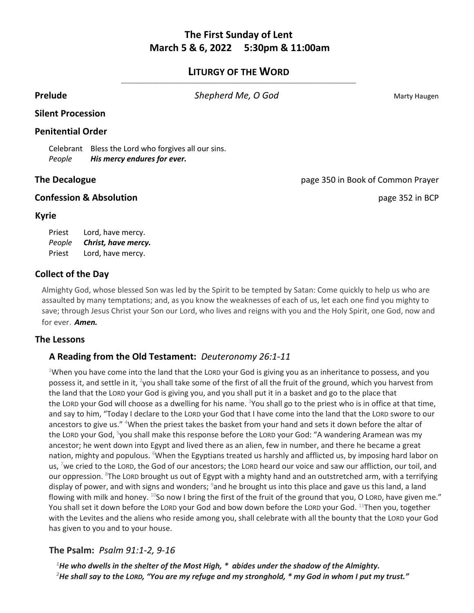# **The First Sunday of Lent March 5 & 6, 2022 5:30pm & 11:00am**

### **LITURGY OF THE WORD \_\_\_\_\_\_\_\_\_\_\_\_\_\_\_\_\_\_\_\_\_\_\_\_\_\_\_\_\_\_\_\_\_\_\_\_\_\_\_\_\_\_\_\_\_\_\_\_\_\_\_\_\_\_\_\_\_\_\_\_\_\_\_\_\_\_\_\_\_\_\_\_\_\_\_\_\_\_\_\_\_\_\_\_\_\_\_\_\_\_\_\_\_\_\_\_\_\_\_\_\_\_\_\_\_\_\_\_\_\_\_\_\_\_\_\_\_\_\_\_\_\_**

**Prelude Shepherd Me, O God** Marty Haugen

## **Silent Procession**

### **Penitential Order**

Celebrant Bless the Lord who forgives all our sins. *People His mercy endures for ever.*

## **The Decalogue** page 350 in Book of Common Prayer

## **Confession & Absolution page 352 in BCP**

### **Kyrie**

Priest Lord, have mercy. *People Christ, have mercy.* Priest Lord, have mercy.

# **Collect of the Day**

Almighty God, whose blessed Son was led by the Spirit to be tempted by Satan: Come quickly to help us who are assaulted by many temptations; and, as you know the weaknesses of each of us, let each one find you mighty to save; through Jesus Christ your Son our Lord, who lives and reigns with you and the Holy Spirit, one God, now and for ever. *Amen.*

## **The Lessons**

# **A Reading from the Old Testament:** *Deuteronomy 26:1-11*

<sup>1</sup>When you have come into the land that the LORD your God is giving you as an inheritance to possess, and you possess it, and settle in it, <sup>2</sup>you shall take some of the first of all the fruit of the ground, which you harvest from the land that the LORD your God is giving you, and you shall put it in a basket and go to the place that the LORD your God will choose as a dwelling for his name. <sup>3</sup>You shall go to the priest who is in office at that time, and say to him, "Today I declare to the LORD your God that I have come into the land that the LORD swore to our ancestors to give us." <sup>4</sup>When the priest takes the basket from your hand and sets it down before the altar of the LORD your God, <sup>5</sup>you shall make this response before the LORD your God: "A wandering Aramean was my ancestor; he went down into Egypt and lived there as an alien, few in number, and there he became a great nation, mighty and populous. <sup>6</sup>When the Egyptians treated us harshly and afflicted us, by imposing hard labor on us, <sup>7</sup>we cried to the LORD, the God of our ancestors; the LORD heard our voice and saw our affliction, our toil, and our oppression. <sup>8</sup>The LORD brought us out of Egypt with a mighty hand and an outstretched arm, with a terrifying display of power, and with signs and wonders; <sup>9</sup>and he brought us into this place and gave us this land, a land flowing with milk and honey.  $^{10}$ So now I bring the first of the fruit of the ground that you, O LORD, have given me." You shall set it down before the LORD your God and bow down before the LORD your God. <sup>11</sup>Then you, together with the Levites and the aliens who reside among you, shall celebrate with all the bounty that the LORD your God has given to you and to your house.

# **The Psalm:** *Psalm 91:1-2, 9-16*

*<sup>1</sup>He who dwells in the shelter of the Most High, \* abides under the shadow of the Almighty. <sup>2</sup>He shall say to the LORD, "You are my refuge and my stronghold, \* my God in whom I put my trust."*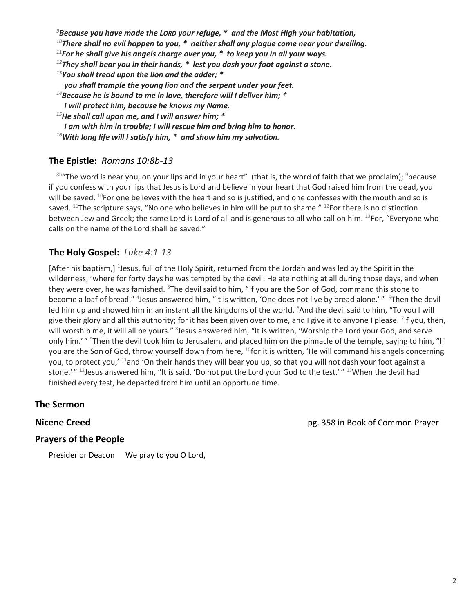*<sup>9</sup>Because you have made the LORD your refuge, \* and the Most High your habitation,*

*<sup>10</sup>There shall no evil happen to you, \* neither shall any plague come near your dwelling.*

*<sup>11</sup>For he shall give his angels charge over you, \* to keep you in all your ways.*

*<sup>12</sup>They shall bear you in their hands, \* lest you dash your foot against a stone.*

*<sup>13</sup>You shall tread upon the lion and the adder; \**

*you shall trample the young lion and the serpent under your feet.*

- *<sup>14</sup>Because he is bound to me in love, therefore will I deliver him; \**
- *I will protect him, because he knows my Name.*

*<sup>15</sup>He shall call upon me, and I will answer him; \**

*I am with him in trouble; I will rescue him and bring him to honor.*

*<sup>16</sup>With long life will I satisfy him, \* and show him my salvation.*

# **The Epistle:** *Romans 10:8b-13*

 $8b$ "The word is near you, on your lips and in your heart" (that is, the word of faith that we proclaim);  $9b$ ecause if you confess with your lips that Jesus is Lord and believe in your heart that God raised him from the dead, you will be saved.  $^{10}$ For one believes with the heart and so is justified, and one confesses with the mouth and so is saved. <sup>11</sup>The scripture says, "No one who believes in him will be put to shame." <sup>12</sup>For there is no distinction between Jew and Greek; the same Lord is Lord of all and is generous to all who call on him. 13For, "Everyone who calls on the name of the Lord shall be saved."

# **The Holy Gospel:** *Luke 4:1-13*

[After his baptism,] <sup>1</sup>Jesus, full of the Holy Spirit, returned from the Jordan and was led by the Spirit in the wilderness, <sup>2</sup>where for forty days he was tempted by the devil. He ate nothing at all during those days, and when they were over, he was famished. <sup>3</sup>The devil said to him, "If you are the Son of God, command this stone to become a loaf of bread." <sup>4</sup>Jesus answered him, "It is written, 'One does not live by bread alone.' " <sup>5</sup>Then the devil led him up and showed him in an instant all the kingdoms of the world. <sup>6</sup>And the devil said to him, "To you I will give their glory and all this authority; for it has been given over to me, and I give it to anyone I please. <sup>7</sup>If you, then, will worship me, it will all be yours." <sup>8</sup>Jesus answered him, "It is written, 'Worship the Lord your God, and serve only him.'" <sup>9</sup>Then the devil took him to Jerusalem, and placed him on the pinnacle of the temple, saying to him, "If you are the Son of God, throw yourself down from here, <sup>10</sup>for it is written, 'He will command his angels concerning you, to protect you,' <sup>11</sup>and 'On their hands they will bear you up, so that you will not dash your foot against a stone.'" <sup>12</sup>Jesus answered him, "It is said, 'Do not put the Lord your God to the test.'" <sup>13</sup>When the devil had finished every test, he departed from him until an opportune time.

# **The Sermon**

**Nicene Creed pg. 358 in Book of Common Prayer** 

# **Prayers of the People**

Presider or Deacon We pray to you O Lord,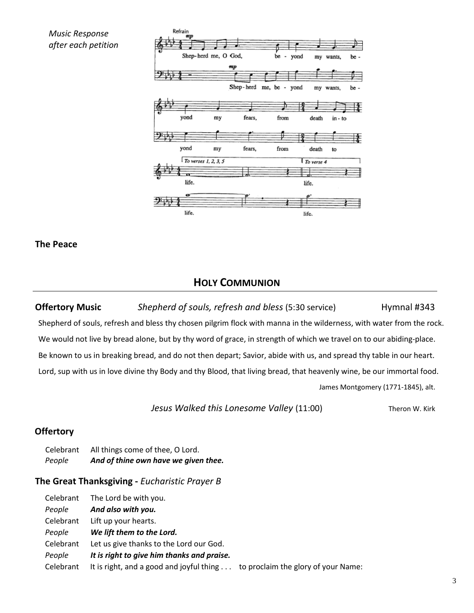*Music Response after each petition*



**The Peace**

# **HOLY COMMUNION**

**Offertory Music** *Shepherd of souls, refresh and bless* (5:30 service) Hymnal #343 Shepherd of souls, refresh and bless thy chosen pilgrim flock with manna in the wilderness, with water from the rock. We would not live by bread alone, but by thy word of grace, in strength of which we travel on to our abiding-place. Be known to us in breaking bread, and do not then depart; Savior, abide with us, and spread thy table in our heart. Lord, sup with us in love divine thy Body and thy Blood, that living bread, that heavenly wine, be our immortal food.

James Montgomery (1771-1845), alt.

*Jesus Walked this Lonesome Valley* (11:00) Theron W. Kirk

# **Offertory**

Celebrant All things come of thee, O Lord. *People And of thine own have we given thee.*

# **The Great Thanksgiving -** *Eucharistic Prayer B*

| Celebrant | The Lord be with you.                                                        |
|-----------|------------------------------------------------------------------------------|
| People    | And also with you.                                                           |
| Celebrant | Lift up your hearts.                                                         |
| People    | We lift them to the Lord.                                                    |
| Celebrant | Let us give thanks to the Lord our God.                                      |
| People    | It is right to give him thanks and praise.                                   |
| Celebrant | It is right, and a good and joyful thing to proclaim the glory of your Name: |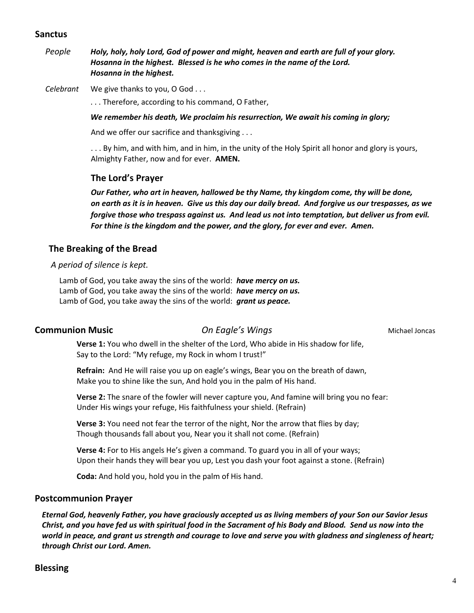### **Sanctus**

*People Holy, holy, holy Lord, God of power and might, heaven and earth are full of your glory. Hosanna in the highest. Blessed is he who comes in the name of the Lord. Hosanna in the highest.*

*Celebrant* We give thanks to you, O God . . .

. . . Therefore, according to his command, O Father,

### *We remember his death, We proclaim his resurrection, We await his coming in glory;*

And we offer our sacrifice and thanksgiving . . .

. . . By him, and with him, and in him, in the unity of the Holy Spirit all honor and glory is yours, Almighty Father, now and for ever. **AMEN.**

### **The Lord's Prayer**

*Our Father, who art in heaven, hallowed be thy Name, thy kingdom come, thy will be done, on earth as it is in heaven. Give us this day our daily bread. And forgive us our trespasses, as we forgive those who trespass against us. And lead us not into temptation, but deliver us from evil. For thine is the kingdom and the power, and the glory, for ever and ever. Amen.*

## **The Breaking of the Bread**

### *A period of silence is kept.*

Lamb of God, you take away the sins of the world: *have mercy on us.* Lamb of God, you take away the sins of the world: *have mercy on us.* Lamb of God, you take away the sins of the world: *grant us peace.*

### **Communion Music** *On Eagle's Wings* **Michael Joncas** Michael Joncas

**Verse 1:** You who dwell in the shelter of the Lord, Who abide in His shadow for life, Say to the Lord: "My refuge, my Rock in whom I trust!"

**Refrain:** And He will raise you up on eagle's wings, Bear you on the breath of dawn, Make you to shine like the sun, And hold you in the palm of His hand.

**Verse 2:** The snare of the fowler will never capture you, And famine will bring you no fear: Under His wings your refuge, His faithfulness your shield. (Refrain)

**Verse 3:** You need not fear the terror of the night, Nor the arrow that flies by day; Though thousands fall about you, Near you it shall not come. (Refrain)

**Verse 4:** For to His angels He's given a command. To guard you in all of your ways; Upon their hands they will bear you up, Lest you dash your foot against a stone. (Refrain)

**Coda:** And hold you, hold you in the palm of His hand.

### **Postcommunion Prayer**

*Eternal God, heavenly Father, you have graciously accepted us as living members of your Son our Savior Jesus Christ, and you have fed us with spiritual food in the Sacrament of his Body and Blood. Send us now into the world in peace, and grant us strength and courage to love and serve you with gladness and singleness of heart; through Christ our Lord. Amen.*

## **Blessing**